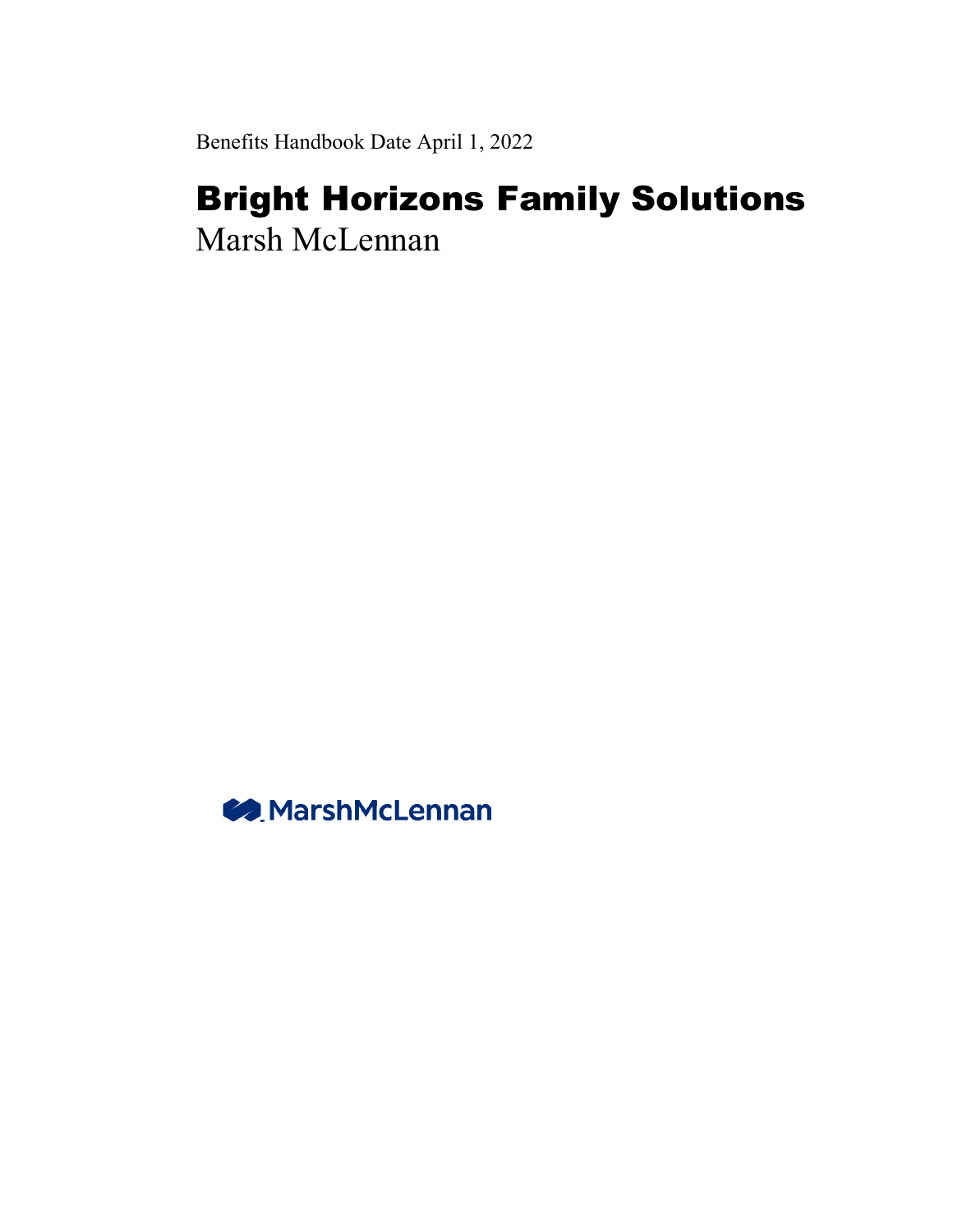Benefits Handbook Date April 1, 2022

# Bright Horizons Family Solutions

Marsh McLennan

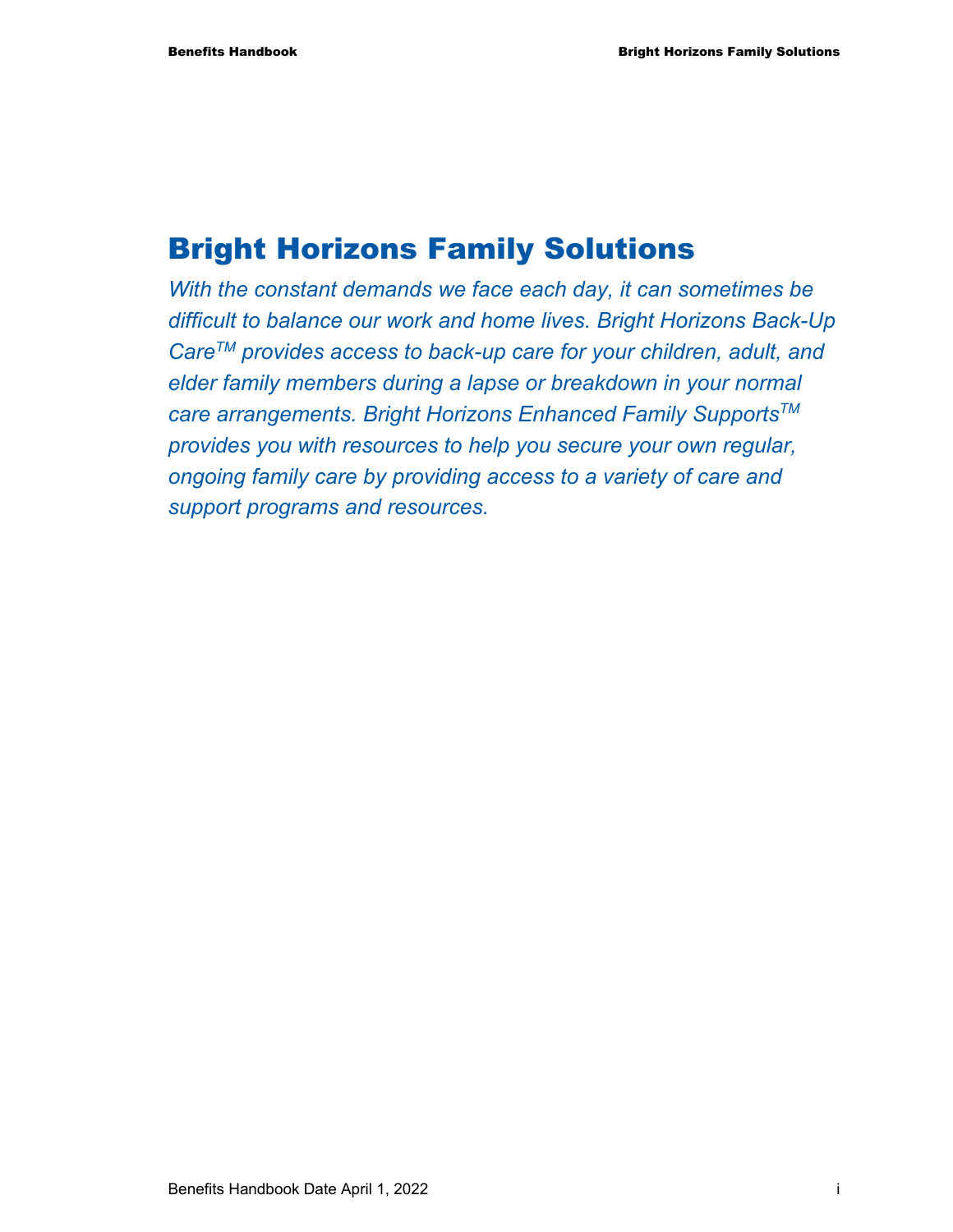# Bright Horizons Family Solutions

*With the constant demands we face each day, it can sometimes be difficult to balance our work and home lives. Bright Horizons Back-Up CareTM provides access to back-up care for your children, adult, and elder family members during a lapse or breakdown in your normal care arrangements. Bright Horizons Enhanced Family SupportsTM provides you with resources to help you secure your own regular, ongoing family care by providing access to a variety of care and support programs and resources.*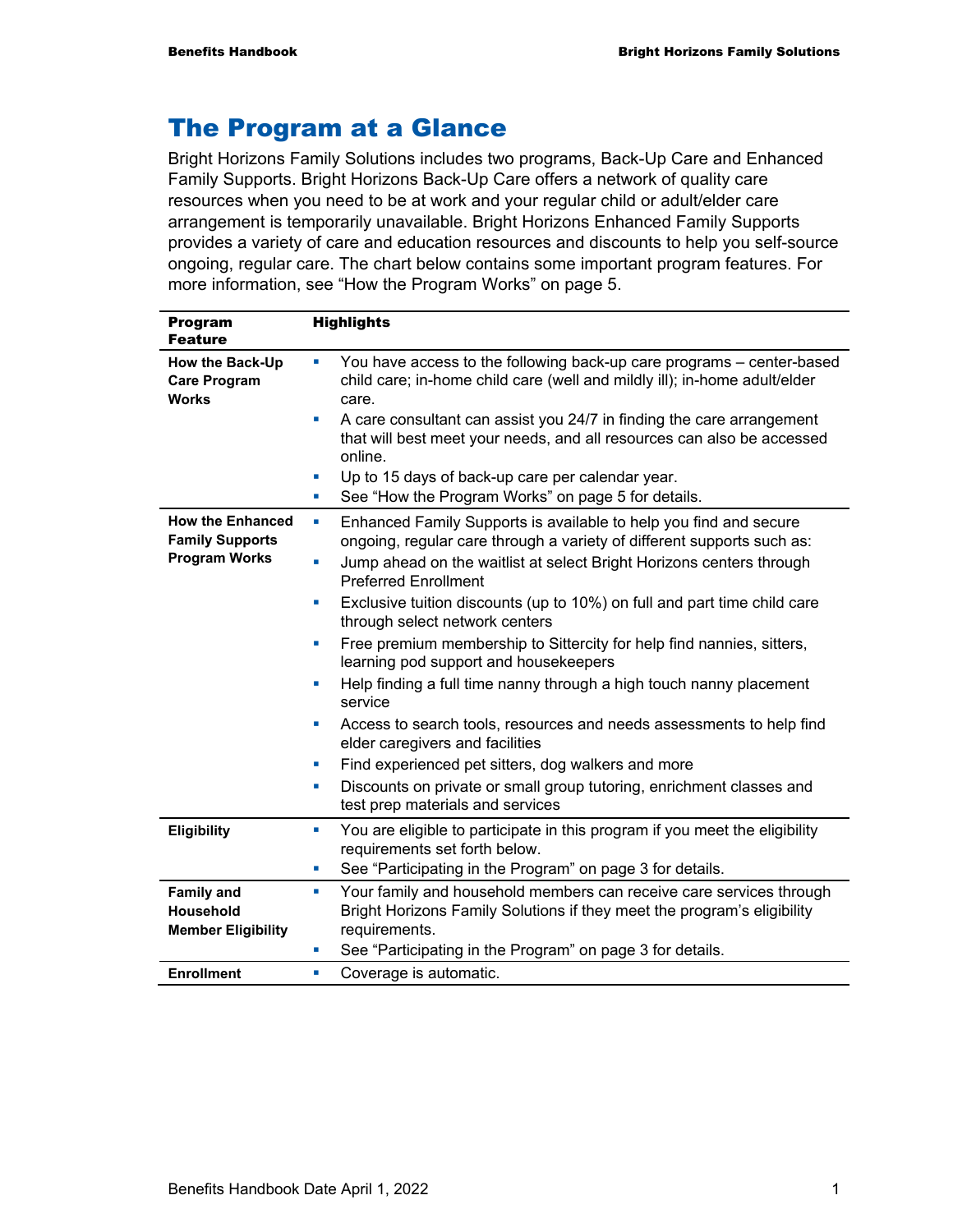## The Program at a Glance

Bright Horizons Family Solutions includes two programs, Back-Up Care and Enhanced Family Supports. Bright Horizons Back-Up Care offers a network of quality care resources when you need to be at work and your regular child or adult/elder care arrangement is temporarily unavailable. Bright Horizons Enhanced Family Supports provides a variety of care and education resources and discounts to help you self-source ongoing, regular care. The chart below contains some important program features. For more information, see "How the Program Works" on page 5.

| <b>Program</b><br><b>Feature</b>                                                 | <b>Highlights</b>                                                                                                                                                                                                                                                                                                                                                                                                                                                                                                                                                                                                                                                                                                                                                                                                                                                                            |
|----------------------------------------------------------------------------------|----------------------------------------------------------------------------------------------------------------------------------------------------------------------------------------------------------------------------------------------------------------------------------------------------------------------------------------------------------------------------------------------------------------------------------------------------------------------------------------------------------------------------------------------------------------------------------------------------------------------------------------------------------------------------------------------------------------------------------------------------------------------------------------------------------------------------------------------------------------------------------------------|
| How the Back-Up<br><b>Care Program</b><br><b>Works</b>                           | You have access to the following back-up care programs - center-based<br>u,<br>child care; in-home child care (well and mildly ill); in-home adult/elder<br>care.<br>A care consultant can assist you 24/7 in finding the care arrangement<br>×<br>that will best meet your needs, and all resources can also be accessed<br>online.<br>Up to 15 days of back-up care per calendar year.<br>ш<br>See "How the Program Works" on page 5 for details.<br>×                                                                                                                                                                                                                                                                                                                                                                                                                                     |
| <b>How the Enhanced</b><br><b>Family Supports</b><br><b>Program Works</b>        | Enhanced Family Supports is available to help you find and secure<br>ш<br>ongoing, regular care through a variety of different supports such as:<br>Jump ahead on the waitlist at select Bright Horizons centers through<br>L.<br><b>Preferred Enrollment</b><br>Exclusive tuition discounts (up to 10%) on full and part time child care<br>×<br>through select network centers<br>Free premium membership to Sittercity for help find nannies, sitters,<br>×<br>learning pod support and housekeepers<br>Help finding a full time nanny through a high touch nanny placement<br>u,<br>service<br>Access to search tools, resources and needs assessments to help find<br>u,<br>elder caregivers and facilities<br>Find experienced pet sitters, dog walkers and more<br>×<br>Discounts on private or small group tutoring, enrichment classes and<br>ш<br>test prep materials and services |
| <b>Eligibility</b>                                                               | You are eligible to participate in this program if you meet the eligibility<br>ш<br>requirements set forth below.<br>See "Participating in the Program" on page 3 for details.<br>ш                                                                                                                                                                                                                                                                                                                                                                                                                                                                                                                                                                                                                                                                                                          |
| <b>Family and</b><br>Household<br><b>Member Eligibility</b><br><b>Enrollment</b> | Your family and household members can receive care services through<br>ш<br>Bright Horizons Family Solutions if they meet the program's eligibility<br>requirements.<br>See "Participating in the Program" on page 3 for details.<br>ш<br>Coverage is automatic.<br>ш                                                                                                                                                                                                                                                                                                                                                                                                                                                                                                                                                                                                                        |
|                                                                                  |                                                                                                                                                                                                                                                                                                                                                                                                                                                                                                                                                                                                                                                                                                                                                                                                                                                                                              |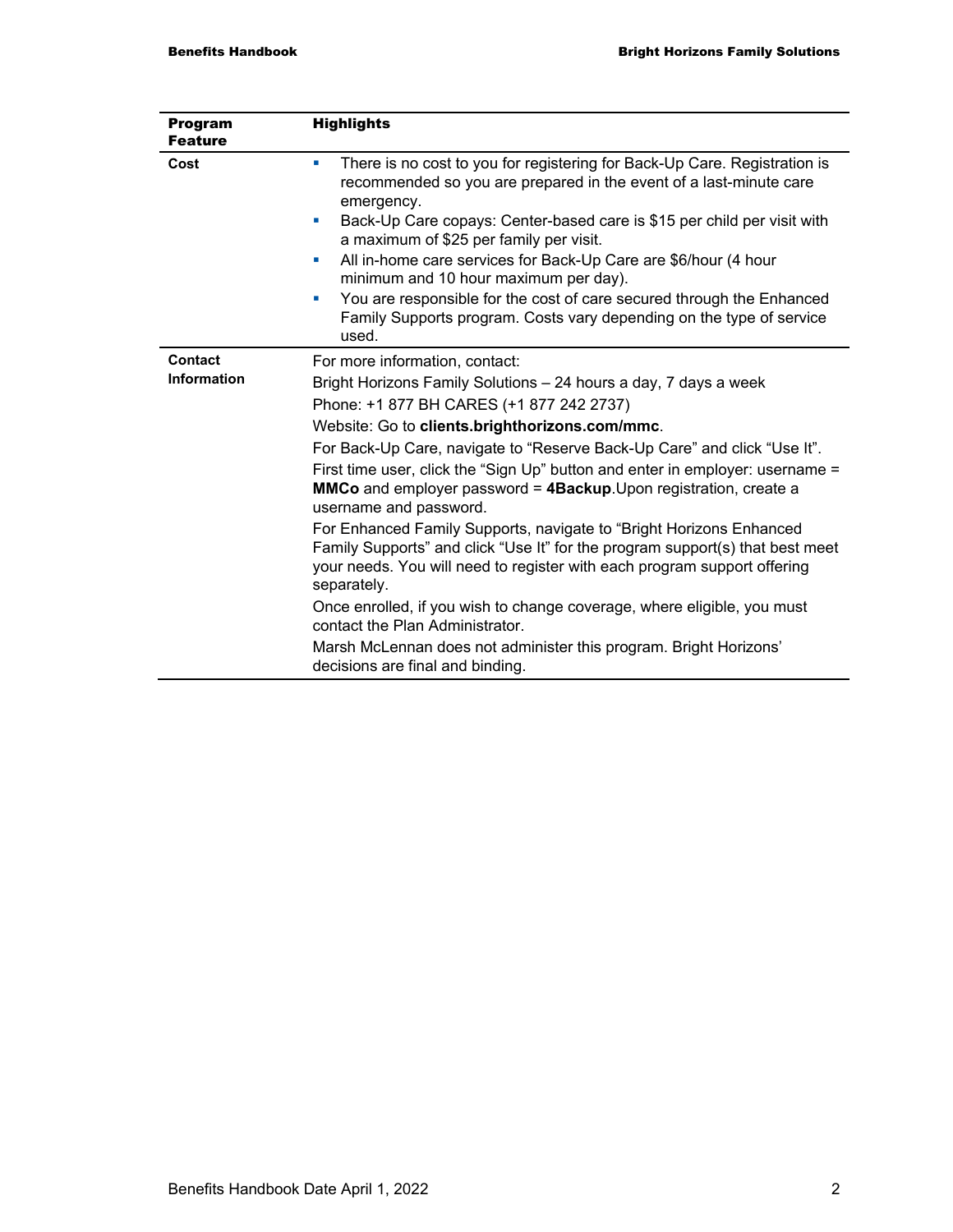| <b>Program</b><br><b>Feature</b> | <b>Highlights</b>                                                                                                                                                                                                                                                                                                                                                                                                                                                                                                                                                                                                                                                                                                                                                                                                                                                                                                                      |
|----------------------------------|----------------------------------------------------------------------------------------------------------------------------------------------------------------------------------------------------------------------------------------------------------------------------------------------------------------------------------------------------------------------------------------------------------------------------------------------------------------------------------------------------------------------------------------------------------------------------------------------------------------------------------------------------------------------------------------------------------------------------------------------------------------------------------------------------------------------------------------------------------------------------------------------------------------------------------------|
| Cost                             | There is no cost to you for registering for Back-Up Care. Registration is<br>u.<br>recommended so you are prepared in the event of a last-minute care<br>emergency.<br>Back-Up Care copays: Center-based care is \$15 per child per visit with<br>×<br>a maximum of \$25 per family per visit.<br>All in-home care services for Back-Up Care are \$6/hour (4 hour<br>u,<br>minimum and 10 hour maximum per day).<br>You are responsible for the cost of care secured through the Enhanced<br>u,<br>Family Supports program. Costs vary depending on the type of service<br>used.                                                                                                                                                                                                                                                                                                                                                       |
| Contact<br><b>Information</b>    | For more information, contact:<br>Bright Horizons Family Solutions - 24 hours a day, 7 days a week<br>Phone: +1 877 BH CARES (+1 877 242 2737)<br>Website: Go to clients.brighthorizons.com/mmc.<br>For Back-Up Care, navigate to "Reserve Back-Up Care" and click "Use It".<br>First time user, click the "Sign Up" button and enter in employer: username =<br>MMCo and employer password = 4Backup. Upon registration, create a<br>username and password.<br>For Enhanced Family Supports, navigate to "Bright Horizons Enhanced<br>Family Supports" and click "Use It" for the program support(s) that best meet<br>your needs. You will need to register with each program support offering<br>separately.<br>Once enrolled, if you wish to change coverage, where eligible, you must<br>contact the Plan Administrator.<br>Marsh McLennan does not administer this program. Bright Horizons'<br>decisions are final and binding. |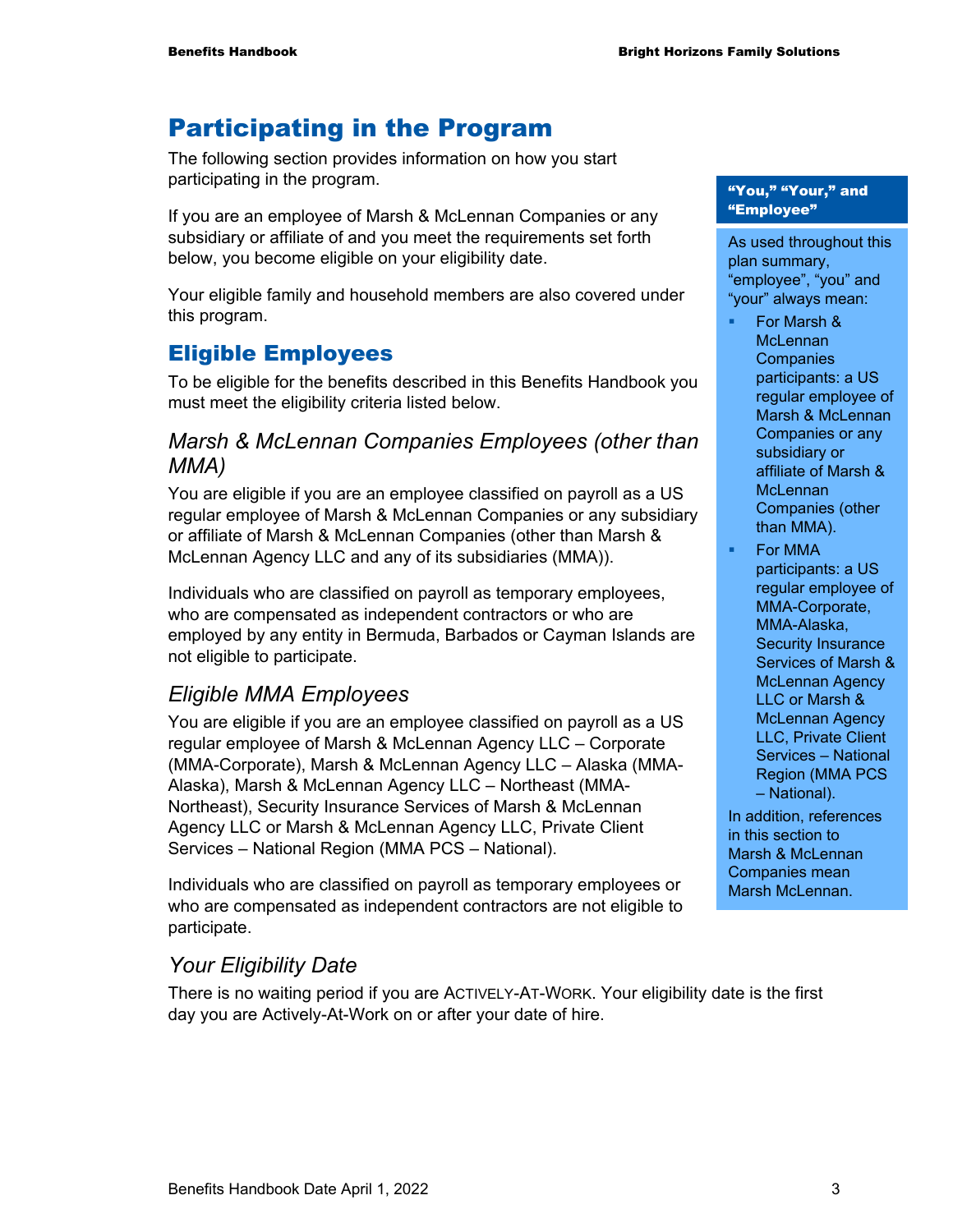# Participating in the Program

The following section provides information on how you start participating in the program.

If you are an employee of Marsh & McLennan Companies or any subsidiary or affiliate of and you meet the requirements set forth below, you become eligible on your eligibility date.

Your eligible family and household members are also covered under this program.

## Eligible Employees

To be eligible for the benefits described in this Benefits Handbook you must meet the eligibility criteria listed below.

#### *Marsh & McLennan Companies Employees (other than MMA)*

You are eligible if you are an employee classified on payroll as a US regular employee of Marsh & McLennan Companies or any subsidiary or affiliate of Marsh & McLennan Companies (other than Marsh & McLennan Agency LLC and any of its subsidiaries (MMA)).

Individuals who are classified on payroll as temporary employees, who are compensated as independent contractors or who are employed by any entity in Bermuda, Barbados or Cayman Islands are not eligible to participate.

#### *Eligible MMA Employees*

You are eligible if you are an employee classified on payroll as a US regular employee of Marsh & McLennan Agency LLC – Corporate (MMA-Corporate), Marsh & McLennan Agency LLC – Alaska (MMA-Alaska), Marsh & McLennan Agency LLC – Northeast (MMA-Northeast), Security Insurance Services of Marsh & McLennan Agency LLC or Marsh & McLennan Agency LLC, Private Client Services – National Region (MMA PCS – National).

Individuals who are classified on payroll as temporary employees or who are compensated as independent contractors are not eligible to participate.

## *Your Eligibility Date*

There is no waiting period if you are ACTIVELY-AT-WORK. Your eligibility date is the first day you are Actively-At-Work on or after your date of hire.

#### "You," "Your," and "Employee"

As used throughout this plan summary, "employee", "you" and "your" always mean:

- For Marsh & **McLennan Companies** participants: a US regular employee of Marsh & McLennan Companies or any subsidiary or affiliate of Marsh & **McLennan** Companies (other than MMA).
- For MMA participants: a US regular employee of MMA-Corporate, MMA-Alaska, Security Insurance Services of Marsh & McLennan Agency LLC or Marsh & McLennan Agency LLC, Private Client Services – National Region (MMA PCS – National).

In addition, references in this section to Marsh & McLennan Companies mean Marsh McLennan.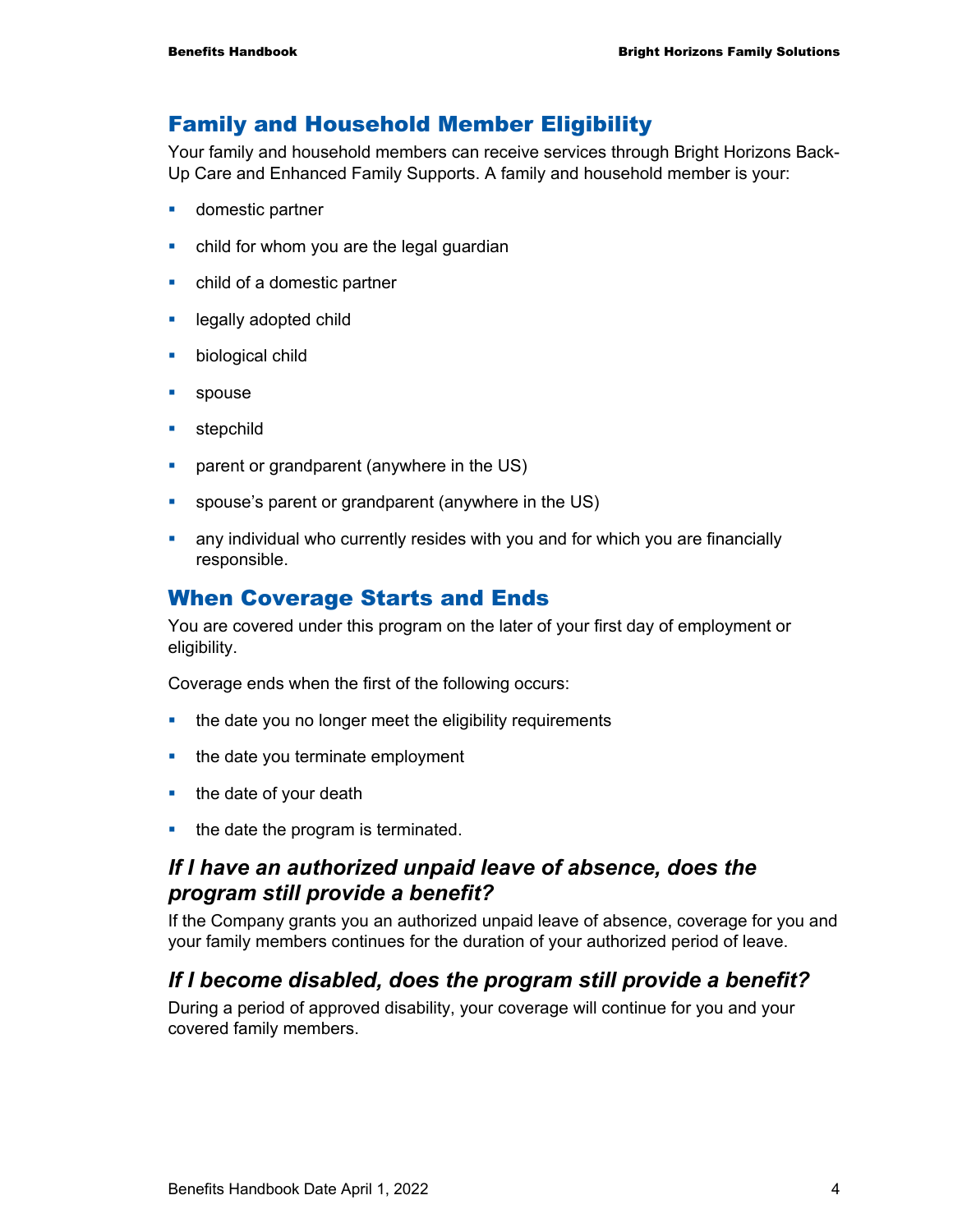## Family and Household Member Eligibility

Your family and household members can receive services through Bright Horizons Back-Up Care and Enhanced Family Supports. A family and household member is your:

- **domestic partner**
- child for whom you are the legal guardian
- child of a domestic partner
- **Example 2** legally adopted child
- **•** biological child
- **spouse**
- **stepchild**
- **•** parent or grandparent (anywhere in the US)
- spouse's parent or grandparent (anywhere in the US)
- any individual who currently resides with you and for which you are financially responsible.

#### When Coverage Starts and Ends

You are covered under this program on the later of your first day of employment or eligibility.

Coverage ends when the first of the following occurs:

- the date you no longer meet the eligibility requirements
- $\blacksquare$  the date you terminate employment
- $\blacksquare$  the date of your death
- the date the program is terminated.

#### *If I have an authorized unpaid leave of absence, does the program still provide a benefit?*

If the Company grants you an authorized unpaid leave of absence, coverage for you and your family members continues for the duration of your authorized period of leave.

#### *If I become disabled, does the program still provide a benefit?*

During a period of approved disability, your coverage will continue for you and your covered family members.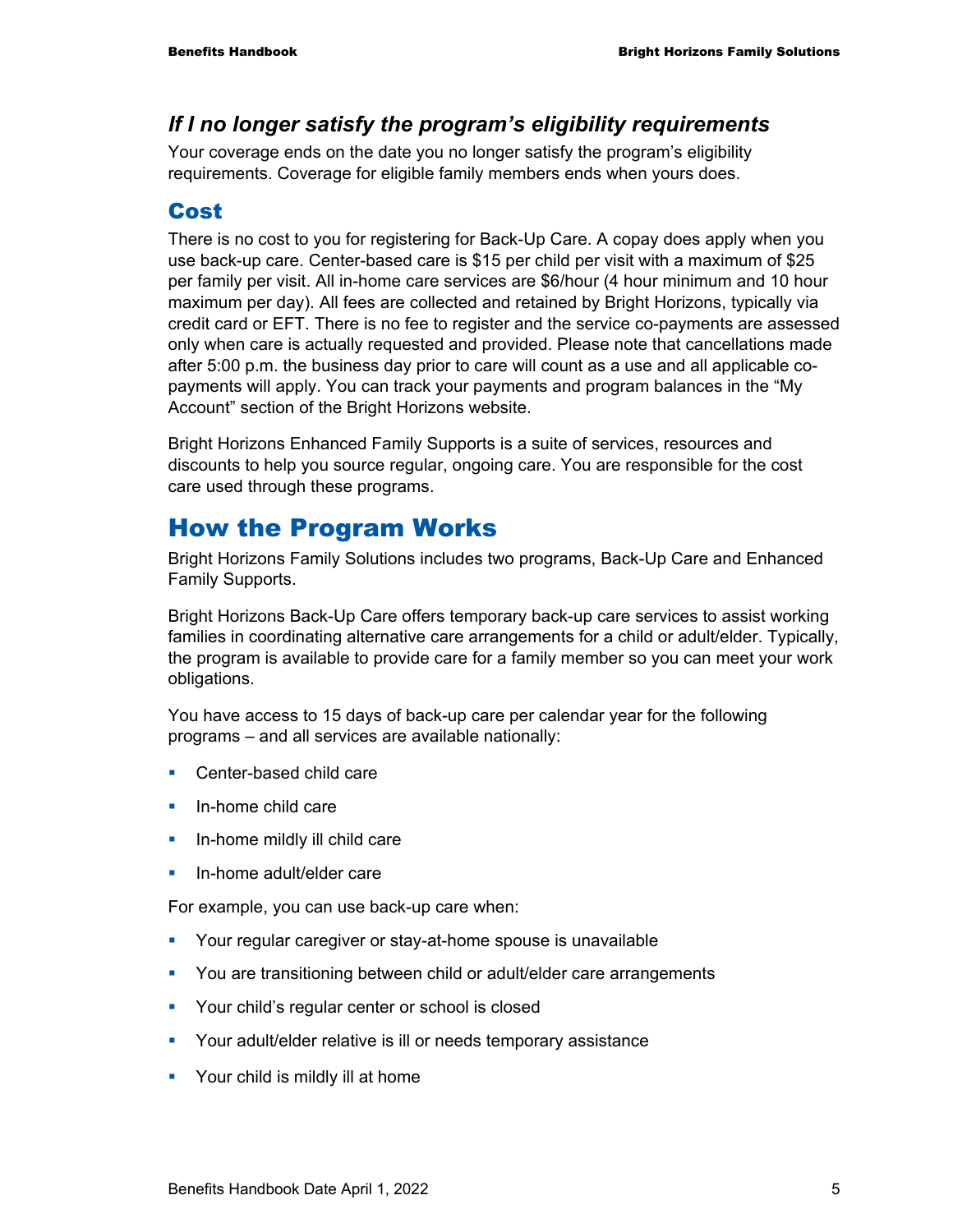#### *If I no longer satisfy the program's eligibility requirements*

Your coverage ends on the date you no longer satisfy the program's eligibility requirements. Coverage for eligible family members ends when yours does.

## Cost

There is no cost to you for registering for Back-Up Care. A copay does apply when you use back-up care. Center-based care is \$15 per child per visit with a maximum of \$25 per family per visit. All in-home care services are \$6/hour (4 hour minimum and 10 hour maximum per day). All fees are collected and retained by Bright Horizons, typically via credit card or EFT. There is no fee to register and the service co-payments are assessed only when care is actually requested and provided. Please note that cancellations made after 5:00 p.m. the business day prior to care will count as a use and all applicable copayments will apply. You can track your payments and program balances in the "My Account" section of the Bright Horizons website.

Bright Horizons Enhanced Family Supports is a suite of services, resources and discounts to help you source regular, ongoing care. You are responsible for the cost care used through these programs.

## How the Program Works

Bright Horizons Family Solutions includes two programs, Back-Up Care and Enhanced Family Supports.

Bright Horizons Back-Up Care offers temporary back-up care services to assist working families in coordinating alternative care arrangements for a child or adult/elder. Typically, the program is available to provide care for a family member so you can meet your work obligations.

You have access to 15 days of back-up care per calendar year for the following programs – and all services are available nationally:

- Center-based child care
- In-home child care
- **In-home mildly ill child care**
- **In-home adult/elder care**

For example, you can use back-up care when:

- **Your regular caregiver or stay-at-home spouse is unavailable**
- **You are transitioning between child or adult/elder care arrangements**
- **•** Your child's regular center or school is closed
- Your adult/elder relative is ill or needs temporary assistance
- **•** Your child is mildly ill at home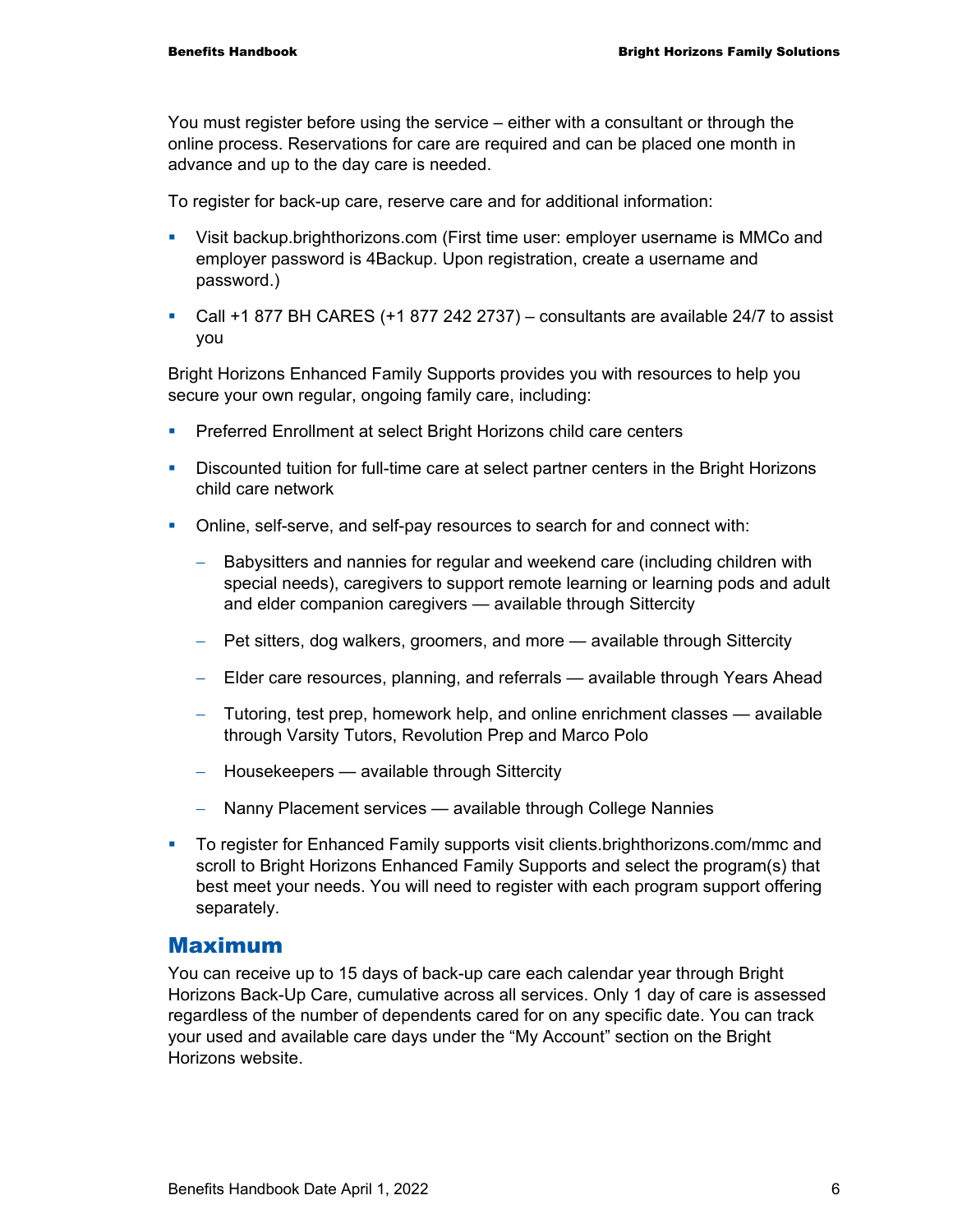You must register before using the service – either with a consultant or through the online process. Reservations for care are required and can be placed one month in advance and up to the day care is needed.

To register for back-up care, reserve care and for additional information:

- Visit backup.brighthorizons.com (First time user: employer username is MMCo and employer password is 4Backup. Upon registration, create a username and password.)
- Call +1 877 BH CARES (+1 877 242 2737) consultants are available 24/7 to assist you

Bright Horizons Enhanced Family Supports provides you with resources to help you secure your own regular, ongoing family care, including:

- **Preferred Enrollment at select Bright Horizons child care centers**
- Discounted tuition for full-time care at select partner centers in the Bright Horizons child care network
- Online, self-serve, and self-pay resources to search for and connect with:
	- − Babysitters and nannies for regular and weekend care (including children with special needs), caregivers to support remote learning or learning pods and adult and elder companion caregivers — available through Sittercity
	- − Pet sitters, dog walkers, groomers, and more available through Sittercity
	- − Elder care resources, planning, and referrals available through Years Ahead
	- − Tutoring, test prep, homework help, and online enrichment classes available through Varsity Tutors, Revolution Prep and Marco Polo
	- − Housekeepers available through Sittercity
	- − Nanny Placement services available through College Nannies
- To register for Enhanced Family supports visit clients.brighthorizons.com/mmc and scroll to Bright Horizons Enhanced Family Supports and select the program(s) that best meet your needs. You will need to register with each program support offering separately.

#### Maximum

You can receive up to 15 days of back-up care each calendar year through Bright Horizons Back-Up Care, cumulative across all services. Only 1 day of care is assessed regardless of the number of dependents cared for on any specific date. You can track your used and available care days under the "My Account" section on the Bright Horizons website.